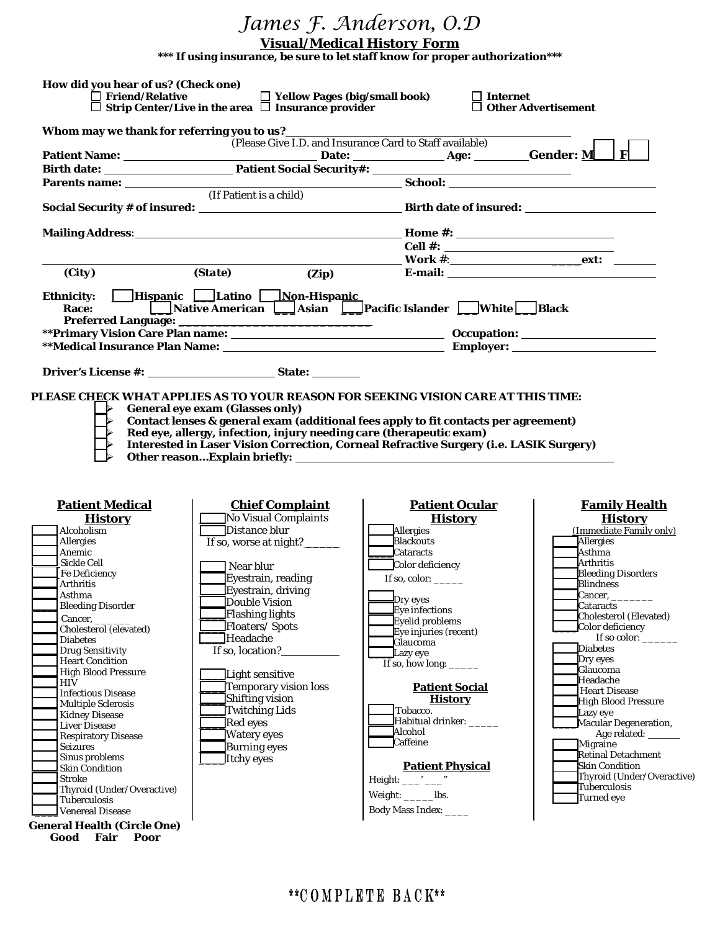|                                                            |                                                                                                                   | James F. Anderson, O.D                                                                                                                       |                                                 |
|------------------------------------------------------------|-------------------------------------------------------------------------------------------------------------------|----------------------------------------------------------------------------------------------------------------------------------------------|-------------------------------------------------|
|                                                            |                                                                                                                   | <b>Visual/Medical History Form</b>                                                                                                           |                                                 |
|                                                            |                                                                                                                   | *** If using insurance, be sure to let staff know for proper authorization***                                                                |                                                 |
| How did you hear of us? (Check one)                        | $\Box$ Friend/Relative $\Box$ Yellow Pages (big/sr $\Box$ Strip Center/Live in the area $\Box$ Insurance provider | □ Yellow Pages (big/small book)<br>□ Insurance provider<br>$\Box$ Internet                                                                   | $\Box$ Other Advertisement                      |
|                                                            |                                                                                                                   |                                                                                                                                              |                                                 |
|                                                            |                                                                                                                   | (Please Give I.D. and Insurance Card to Staff available)                                                                                     |                                                 |
|                                                            |                                                                                                                   |                                                                                                                                              |                                                 |
|                                                            |                                                                                                                   |                                                                                                                                              |                                                 |
|                                                            |                                                                                                                   |                                                                                                                                              |                                                 |
|                                                            |                                                                                                                   |                                                                                                                                              |                                                 |
|                                                            |                                                                                                                   |                                                                                                                                              |                                                 |
|                                                            |                                                                                                                   |                                                                                                                                              |                                                 |
| (City)                                                     | (State)<br>(Zip)                                                                                                  |                                                                                                                                              |                                                 |
|                                                            |                                                                                                                   | Ethnicity: Hispanic Latino Non-Hispanic<br>Race: Latino American Asian Pacific Islander White Black                                          |                                                 |
|                                                            |                                                                                                                   |                                                                                                                                              |                                                 |
|                                                            | Driver's License #: State:                                                                                        |                                                                                                                                              |                                                 |
|                                                            |                                                                                                                   |                                                                                                                                              |                                                 |
| <b>Patient Medical</b>                                     | <b>Chief Complaint</b>                                                                                            | <b>Patient Ocular</b>                                                                                                                        | <b>Family Health</b>                            |
| <b>History</b>                                             | No Visual Complaints                                                                                              | <b>History</b>                                                                                                                               | <b>History</b>                                  |
| Alcoholism<br>Allergies                                    | Distance blur<br>If so, worse at night?                                                                           | Allergies<br><b>Blackouts</b>                                                                                                                | (Immediate Family only)<br>Allergies            |
| Anemic                                                     |                                                                                                                   | Cataracts                                                                                                                                    | Asthma                                          |
| Sickle Cell                                                | Near blur                                                                                                         | Color deficiency                                                                                                                             | Arthritis                                       |
| Fe Deficiency<br>Arthritis                                 | Eyestrain, reading                                                                                                | If so, color: $\_\_$                                                                                                                         | <b>Bleeding Disorders</b><br><b>Blindness</b>   |
| Asthma                                                     | Eyestrain, driving<br>Double Vision                                                                               | Dry eyes                                                                                                                                     | Cancer, __                                      |
| <b>Bleeding Disorder</b>                                   | Flashing lights                                                                                                   | Eye infections                                                                                                                               | Cataracts<br>Cholesterol (Elevated)             |
| Cancer,<br>Cholesterol (elevated)                          | Floaters/Spots                                                                                                    | Eyelid problems<br>Eye injuries (recent)                                                                                                     | Color deficiency                                |
| <b>Diabetes</b>                                            | Headache                                                                                                          | Glaucoma                                                                                                                                     | If so color: $\qquad \qquad$<br><b>Diabetes</b> |
| <b>Drug Sensitivity</b><br><b>Heart Condition</b>          | If so, location?                                                                                                  | Lazy eye<br>If so, how long: $\frac{1}{\sqrt{1-\frac{1}{2}}\sqrt{1-\frac{1}{2}}\sqrt{1-\frac{1}{2}}\sqrt{1-\frac{1}{2}}\sqrt{1-\frac{1}{2}}$ | Dry eyes                                        |
| <b>High Blood Pressure</b>                                 | Light sensitive                                                                                                   |                                                                                                                                              | Glaucoma                                        |
| HIV<br><b>Infectious Disease</b>                           | Temporary vision loss                                                                                             | <b>Patient Social</b>                                                                                                                        | Headache<br><b>Heart Disease</b>                |
| <b>Multiple Sclerosis</b>                                  | Shifting vision                                                                                                   | <b>History</b>                                                                                                                               | High Blood Pressure                             |
| <b>Kidney Disease</b>                                      | Twitching Lids<br>Red eyes]                                                                                       | Tobacco.<br>Habitual drinker: _____                                                                                                          | Lazy eye<br>Macular Degeneration,               |
| <b>Liver Disease</b><br><b>Respiratory Disease</b>         | <b>Watery eyes</b>                                                                                                | Alcohol                                                                                                                                      | Age related: _______                            |
| Seizures                                                   | Burning eyes                                                                                                      | Caffeine                                                                                                                                     | Migraine<br>Retinal Detachment                  |
| Sinus problems<br><b>Skin Condition</b>                    | Itchy eyes                                                                                                        | <b>Patient Physical</b>                                                                                                                      | Skin Condition                                  |
| Stroke                                                     |                                                                                                                   | Height: _______ ' _____ "                                                                                                                    | Thyroid (Under/Overactive)                      |
| Thyroid (Under/Overactive)<br><b>Tuberculosis</b>          |                                                                                                                   | Weight: _________lbs.                                                                                                                        | Tuberculosis<br>Turned eye                      |
| <b>Venereal Disease</b>                                    |                                                                                                                   | Body Mass Index: _____                                                                                                                       |                                                 |
| <b>General Health (Circle One)</b><br>Fair<br>Poor<br>Good |                                                                                                                   |                                                                                                                                              |                                                 |

## \*\*<br>COMPLETE BACK\*\*